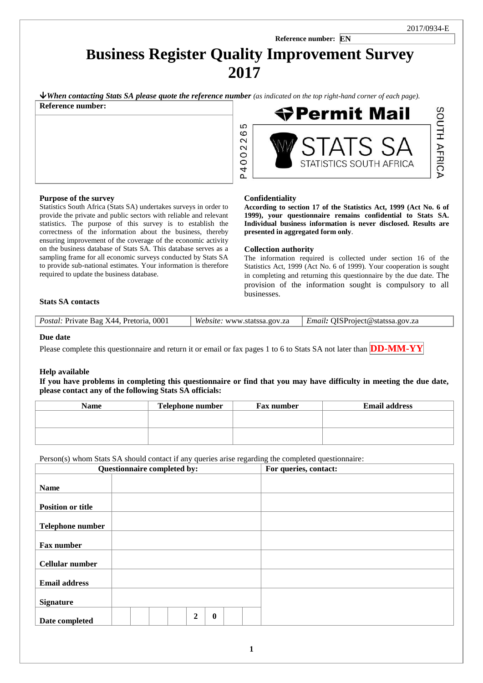SOUTH AFRICA

1

# **Reference number: EN Business Register Quality Improvement Survey 2017**

 $\blacklozenge$  When contacting Stats SA please quote the reference number (as indicated on the top right-hand corner of each page).

5 0 2

P4002

| Reference number: |  |  |  |
|-------------------|--|--|--|
|                   |  |  |  |
|                   |  |  |  |
|                   |  |  |  |
|                   |  |  |  |
|                   |  |  |  |

## **Purpose of the survey**

Statistics South Africa (Stats SA) undertakes surveys in order to provide the private and public sectors with reliable and relevant statistics. The purpose of this survey is to establish the correctness of the information about the business, thereby ensuring improvement of the coverage of the economic activity on the business database of Stats SA. This database serves as a sampling frame for all economic surveys conducted by Stats SA to provide sub-national estimates. Your information is therefore required to update the business database.

# STATISTICS SOUTH AFRICA

## **Confidentiality**

**According to section 17 of the Statistics Act, 1999 (Act No. 6 of 1999), your questionnaire remains confidential to Stats SA. Individual business information is never disclosed. Results are presented in aggregated form only**.

**◆Permit Mail** 

## **Collection authority**

The information required is collected under section 16 of the Statistics Act, 1999 (Act No. 6 of 1999). Your cooperation is sought in completing and returning this questionnaire by the due date. The provision of the information sought is compulsory to all businesses.

# **Stats SA contacts**

| Postal: Private Bag X44, Pretoria, 0001 | Website: www.statssa.gov.za   Email: QISProject@statssa.gov.za |
|-----------------------------------------|----------------------------------------------------------------|
|                                         |                                                                |

#### **Due date**

Please complete this questionnaire and return it or email or fax pages 1 to 6 to Stats SA not later than **DD-MM-YY**

# **Help available**

**If you have problems in completing this questionnaire or find that you may have difficulty in meeting the due date, please contact any of the following Stats SA officials:**

| <b>Name</b> | Telephone number | Fax number | <b>Email address</b> |
|-------------|------------------|------------|----------------------|
|             |                  |            |                      |
|             |                  |            |                      |
|             |                  |            |                      |
|             |                  |            |                      |

Person(s) whom Stats SA should contact if any queries arise regarding the completed questionnaire:

|                          | Questionnaire completed by:<br>For queries, contact: |
|--------------------------|------------------------------------------------------|
| <b>Name</b>              |                                                      |
| <b>Position or title</b> |                                                      |
| <b>Telephone number</b>  |                                                      |
| Fax number               |                                                      |
| <b>Cellular number</b>   |                                                      |
| <b>Email address</b>     |                                                      |
| <b>Signature</b>         |                                                      |
| Date completed           | $\overline{2}$<br>$\bf{0}$                           |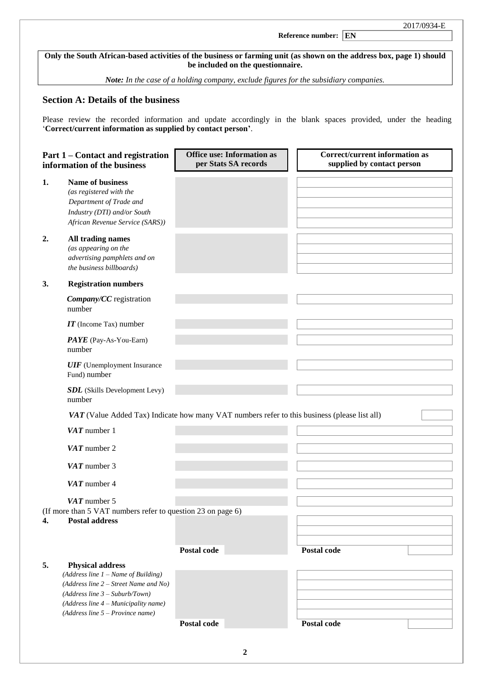# **Reference number: EN**

**Only the South African-based activities of the business or farming unit (as shown on the address box, page 1) should be included on the questionnaire.**

l

*Note: In the case of a holding company, exclude figures for the subsidiary companies.*

# **Section A: Details of the business**

Please review the recorded information and update accordingly in the blank spaces provided, under the heading '**Correct/current information as supplied by contact person'**.

| Part 1 – Contact and registration<br>information of the business                                                                                                                                                                   | <b>Office use: Information as</b><br>per Stats SA records                                    | <b>Correct/current information as</b><br>supplied by contact person |
|------------------------------------------------------------------------------------------------------------------------------------------------------------------------------------------------------------------------------------|----------------------------------------------------------------------------------------------|---------------------------------------------------------------------|
| Name of business<br>1.<br>(as registered with the<br>Department of Trade and<br>Industry (DTI) and/or South<br>African Revenue Service (SARS))                                                                                     |                                                                                              |                                                                     |
| 2.<br>All trading names<br>(as appearing on the<br>advertising pamphlets and on<br>the business billboards)                                                                                                                        |                                                                                              |                                                                     |
| <b>Registration numbers</b><br>3.                                                                                                                                                                                                  |                                                                                              |                                                                     |
| Company/CC registration<br>number                                                                                                                                                                                                  |                                                                                              |                                                                     |
| $IT$ (Income Tax) number                                                                                                                                                                                                           |                                                                                              |                                                                     |
| PAYE (Pay-As-You-Earn)<br>number                                                                                                                                                                                                   |                                                                                              |                                                                     |
| <b>UIF</b> (Unemployment Insurance<br>Fund) number                                                                                                                                                                                 |                                                                                              |                                                                     |
| <b>SDL</b> (Skills Development Levy)<br>number                                                                                                                                                                                     |                                                                                              |                                                                     |
|                                                                                                                                                                                                                                    | VAT (Value Added Tax) Indicate how many VAT numbers refer to this business (please list all) |                                                                     |
| $VAT$ number 1                                                                                                                                                                                                                     |                                                                                              |                                                                     |
| $VAT$ number 2                                                                                                                                                                                                                     |                                                                                              |                                                                     |
| $VAT$ number 3                                                                                                                                                                                                                     |                                                                                              |                                                                     |
| $VAT$ number 4                                                                                                                                                                                                                     |                                                                                              |                                                                     |
| $VAT$ number 5<br>(If more than 5 VAT numbers refer to question 23 on page 6)<br>4.<br><b>Postal address</b>                                                                                                                       |                                                                                              |                                                                     |
|                                                                                                                                                                                                                                    | Postal code                                                                                  | Postal code                                                         |
| 5.<br><b>Physical address</b><br>(Address line $1$ – Name of Building)<br>(Address line 2 – Street Name and No)<br>$(Address line 3 - Suburb/ Town)$<br>(Address line 4 - Municipality name)<br>$(Address line 5 - Province name)$ |                                                                                              |                                                                     |
|                                                                                                                                                                                                                                    | Postal code                                                                                  | Postal code                                                         |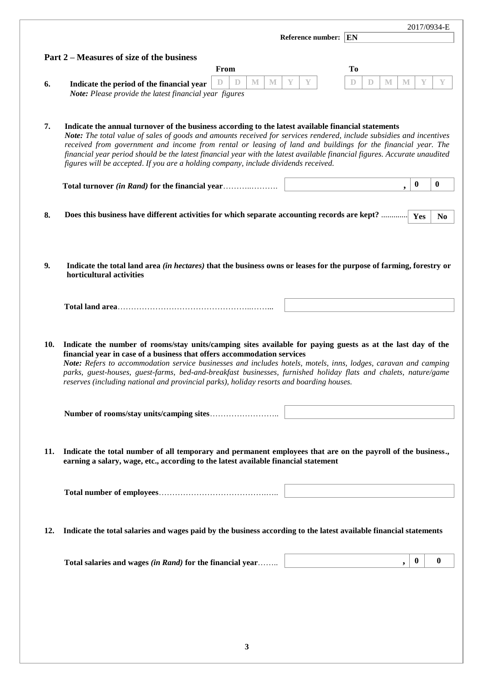|     |                                                                                                                                                                                                                                                                                                                                                                                                                                                                                                                                                                 | 2017/0934-E                                                |
|-----|-----------------------------------------------------------------------------------------------------------------------------------------------------------------------------------------------------------------------------------------------------------------------------------------------------------------------------------------------------------------------------------------------------------------------------------------------------------------------------------------------------------------------------------------------------------------|------------------------------------------------------------|
|     | Reference number: EN                                                                                                                                                                                                                                                                                                                                                                                                                                                                                                                                            |                                                            |
|     | Part 2 – Measures of size of the business                                                                                                                                                                                                                                                                                                                                                                                                                                                                                                                       |                                                            |
|     | From                                                                                                                                                                                                                                                                                                                                                                                                                                                                                                                                                            | <b>To</b>                                                  |
| 6.  | $\mathbb M$<br>M<br>Y<br>Y<br>D<br>D<br>Indicate the period of the financial year<br>Note: Please provide the latest financial year figures                                                                                                                                                                                                                                                                                                                                                                                                                     | $\mathbb{D}$<br>$\mathbf{M}$<br>$\mathbb M$<br>Y<br>Y<br>D |
|     |                                                                                                                                                                                                                                                                                                                                                                                                                                                                                                                                                                 |                                                            |
| 7.  | Indicate the annual turnover of the business according to the latest available financial statements<br>Note: The total value of sales of goods and amounts received for services rendered, include subsidies and incentives<br>received from government and income from rental or leasing of land and buildings for the financial year. The<br>financial year period should be the latest financial year with the latest available financial figures. Accurate unaudited<br>figures will be accepted. If you are a holding company, include dividends received. |                                                            |
|     |                                                                                                                                                                                                                                                                                                                                                                                                                                                                                                                                                                 | $\boldsymbol{0}$<br>$\bf{0}$                               |
| 8.  | Does this business have different activities for which separate accounting records are kept?                                                                                                                                                                                                                                                                                                                                                                                                                                                                    | Yes<br>N <sub>0</sub>                                      |
| 9.  | Indicate the total land area <i>(in hectares)</i> that the business owns or leases for the purpose of farming, forestry or<br>horticultural activities                                                                                                                                                                                                                                                                                                                                                                                                          |                                                            |
|     |                                                                                                                                                                                                                                                                                                                                                                                                                                                                                                                                                                 |                                                            |
| 10. | Indicate the number of rooms/stay units/camping sites available for paying guests as at the last day of the<br>financial year in case of a business that offers accommodation services<br>Note: Refers to accommodation service businesses and includes hotels, motels, inns, lodges, caravan and camping<br>parks, guest-houses, guest-farms, bed-and-breakfast businesses, furnished holiday flats and chalets, nature/game<br>reserves (including national and provincial parks), holiday resorts and boarding houses.                                       |                                                            |
|     |                                                                                                                                                                                                                                                                                                                                                                                                                                                                                                                                                                 |                                                            |
| 11. | Indicate the total number of all temporary and permanent employees that are on the payroll of the business.,<br>earning a salary, wage, etc., according to the latest available financial statement                                                                                                                                                                                                                                                                                                                                                             |                                                            |
|     |                                                                                                                                                                                                                                                                                                                                                                                                                                                                                                                                                                 |                                                            |
| 12. | Indicate the total salaries and wages paid by the business according to the latest available financial statements                                                                                                                                                                                                                                                                                                                                                                                                                                               |                                                            |
|     | Total salaries and wages (in Rand) for the financial year                                                                                                                                                                                                                                                                                                                                                                                                                                                                                                       | $\overline{\phantom{a}}$<br>$\bf{0}$<br>$\bf{0}$           |
|     |                                                                                                                                                                                                                                                                                                                                                                                                                                                                                                                                                                 |                                                            |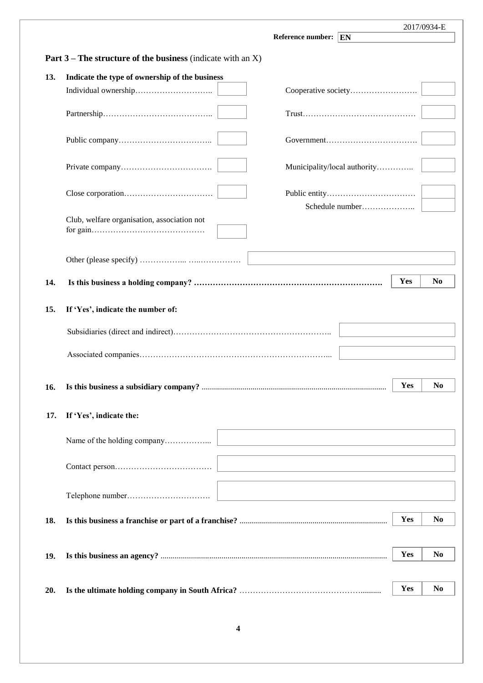|     | <b>Part 3</b> – The structure of the business (indicate with an $X$ ) |                              |
|-----|-----------------------------------------------------------------------|------------------------------|
|     |                                                                       |                              |
| 13. | Indicate the type of ownership of the business                        |                              |
|     |                                                                       | Cooperative society          |
|     |                                                                       |                              |
|     |                                                                       |                              |
|     |                                                                       | Municipality/local authority |
|     |                                                                       |                              |
|     |                                                                       |                              |
|     | Club, welfare organisation, association not                           |                              |
|     |                                                                       |                              |
|     |                                                                       |                              |
|     |                                                                       |                              |
| 14. |                                                                       | Yes                          |
|     |                                                                       |                              |
| 15. | If 'Yes', indicate the number of:                                     |                              |
|     |                                                                       |                              |
|     |                                                                       |                              |
|     |                                                                       |                              |
|     |                                                                       |                              |
| 16. |                                                                       | Yes                          |
|     |                                                                       |                              |
| 17. | If 'Yes', indicate the:                                               |                              |
|     |                                                                       |                              |
|     |                                                                       |                              |
|     |                                                                       |                              |
|     |                                                                       |                              |
|     |                                                                       |                              |
|     |                                                                       |                              |
|     |                                                                       |                              |
| 18. |                                                                       | Yes                          |
| 19. |                                                                       | Yes                          |
|     |                                                                       |                              |
|     |                                                                       | Yes                          |
| 20. |                                                                       |                              |
|     |                                                                       |                              |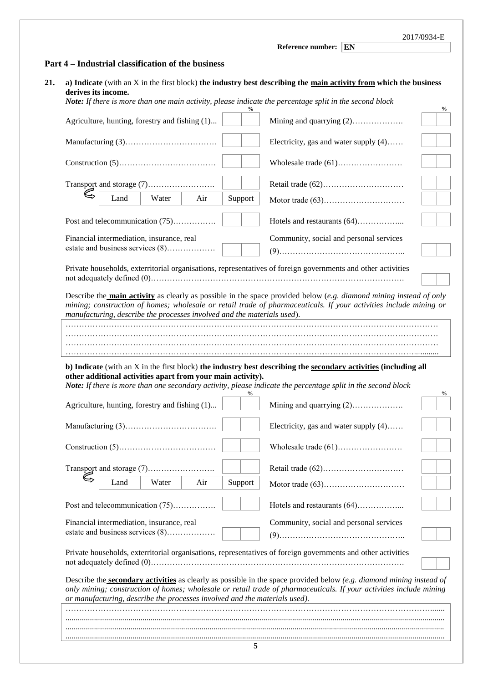|                                                                                                                                                                                                                                                     | Reference number: EN                    |
|-----------------------------------------------------------------------------------------------------------------------------------------------------------------------------------------------------------------------------------------------------|-----------------------------------------|
| Part 4 – Industrial classification of the business                                                                                                                                                                                                  |                                         |
| a) Indicate (with an X in the first block) the industry best describing the main activity from which the business<br>derives its income.<br>Note: If there is more than one main activity, please indicate the percentage split in the second block |                                         |
| Agriculture, hunting, forestry and fishing (1)                                                                                                                                                                                                      | %<br>Mining and quarrying (2)           |
|                                                                                                                                                                                                                                                     | Electricity, gas and water supply (4)   |
|                                                                                                                                                                                                                                                     |                                         |
|                                                                                                                                                                                                                                                     |                                         |
| Land<br>Water<br>Air<br>Support                                                                                                                                                                                                                     |                                         |
| Post and telecommunication (75)                                                                                                                                                                                                                     | Hotels and restaurants (64)             |
| Financial intermediation, insurance, real                                                                                                                                                                                                           | Community, social and personal services |
| estate and business services (8)                                                                                                                                                                                                                    |                                         |
| Private households, exterritorial organisations, representatives of foreign governments and other activities                                                                                                                                        |                                         |
| Describe the <b>main activity</b> as clearly as possible in the space provided below (e.g. diamond mining instead of only<br>mining; construction of homes; wholesale or retail trade of pharmaceuticals. If your activities include mining or      |                                         |
| manufacturing, describe the processes involved and the materials used).                                                                                                                                                                             |                                         |
|                                                                                                                                                                                                                                                     |                                         |
|                                                                                                                                                                                                                                                     |                                         |
|                                                                                                                                                                                                                                                     |                                         |
|                                                                                                                                                                                                                                                     |                                         |
| b) Indicate (with an X in the first block) the industry best describing the secondary activities (including all                                                                                                                                     |                                         |
| other additional activities apart from your main activity).<br>Note: If there is more than one secondary activity, please indicate the percentage split in the second block                                                                         |                                         |
| Agriculture, hunting, forestry and fishing (1)                                                                                                                                                                                                      | %                                       |
|                                                                                                                                                                                                                                                     | Electricity, gas and water supply $(4)$ |
|                                                                                                                                                                                                                                                     |                                         |
|                                                                                                                                                                                                                                                     |                                         |
| Water<br>Land<br>Air<br>Support                                                                                                                                                                                                                     |                                         |
| Post and telecommunication (75)                                                                                                                                                                                                                     | Hotels and restaurants (64)             |
| Financial intermediation, insurance, real                                                                                                                                                                                                           | Community, social and personal services |
| estate and business services (8)                                                                                                                                                                                                                    |                                         |
| Private households, exterritorial organisations, representatives of foreign governments and other activities                                                                                                                                        |                                         |
| Describe the <b>secondary activities</b> as clearly as possible in the space provided below (e.g. diamond mining instead of<br>only mining; construction of homes; wholesale or retail trade of pharmaceuticals. If your activities include mining  |                                         |
| or manufacturing, describe the processes involved and the materials used).                                                                                                                                                                          |                                         |
|                                                                                                                                                                                                                                                     |                                         |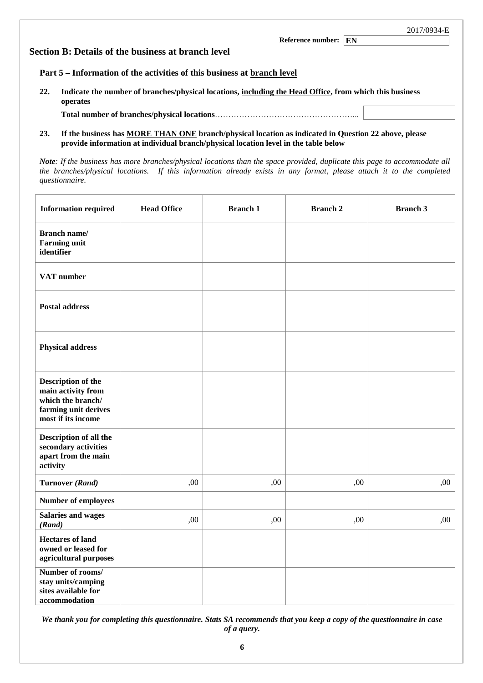|     | 2017/0934-E<br>Reference number: EN<br>Section B: Details of the business at branch level                           |  |
|-----|---------------------------------------------------------------------------------------------------------------------|--|
|     | Part 5 – Information of the activities of this business at branch level                                             |  |
| 22. | Indicate the number of branches/physical locations, including the Head Office, from which this business<br>operates |  |
|     |                                                                                                                     |  |

**23. If the business has MORE THAN ONE branch/physical location as indicated in Question 22 above, please provide information at individual branch/physical location level in the table below**

*Note: If the business has more branches/physical locations than the space provided, duplicate this page to accommodate all the branches/physical locations. If this information already exists in any format, please attach it to the completed questionnaire.*

| <b>Information required</b>                                                                                 | <b>Head Office</b> | <b>Branch 1</b> | <b>Branch 2</b> | <b>Branch 3</b> |
|-------------------------------------------------------------------------------------------------------------|--------------------|-----------------|-----------------|-----------------|
| <b>Branch name/</b><br><b>Farming unit</b><br>identifier                                                    |                    |                 |                 |                 |
| VAT number                                                                                                  |                    |                 |                 |                 |
| <b>Postal address</b>                                                                                       |                    |                 |                 |                 |
| <b>Physical address</b>                                                                                     |                    |                 |                 |                 |
| Description of the<br>main activity from<br>which the branch/<br>farming unit derives<br>most if its income |                    |                 |                 |                 |
| Description of all the<br>secondary activities<br>apart from the main<br>activity                           |                    |                 |                 |                 |
| Turnover (Rand)                                                                                             | ,00                | ,00             | ,00             | ,00             |
| <b>Number of employees</b>                                                                                  |                    |                 |                 |                 |
| <b>Salaries and wages</b><br>(Rand)                                                                         | ,00                | ,00             | ,00             | ,00             |
| <b>Hectares of land</b><br>owned or leased for<br>agricultural purposes                                     |                    |                 |                 |                 |
| Number of rooms/<br>stay units/camping<br>sites available for<br>accommodation                              |                    |                 |                 |                 |

*We thank you for completing this questionnaire. Stats SA recommends that you keep a copy of the questionnaire in case of a query.*